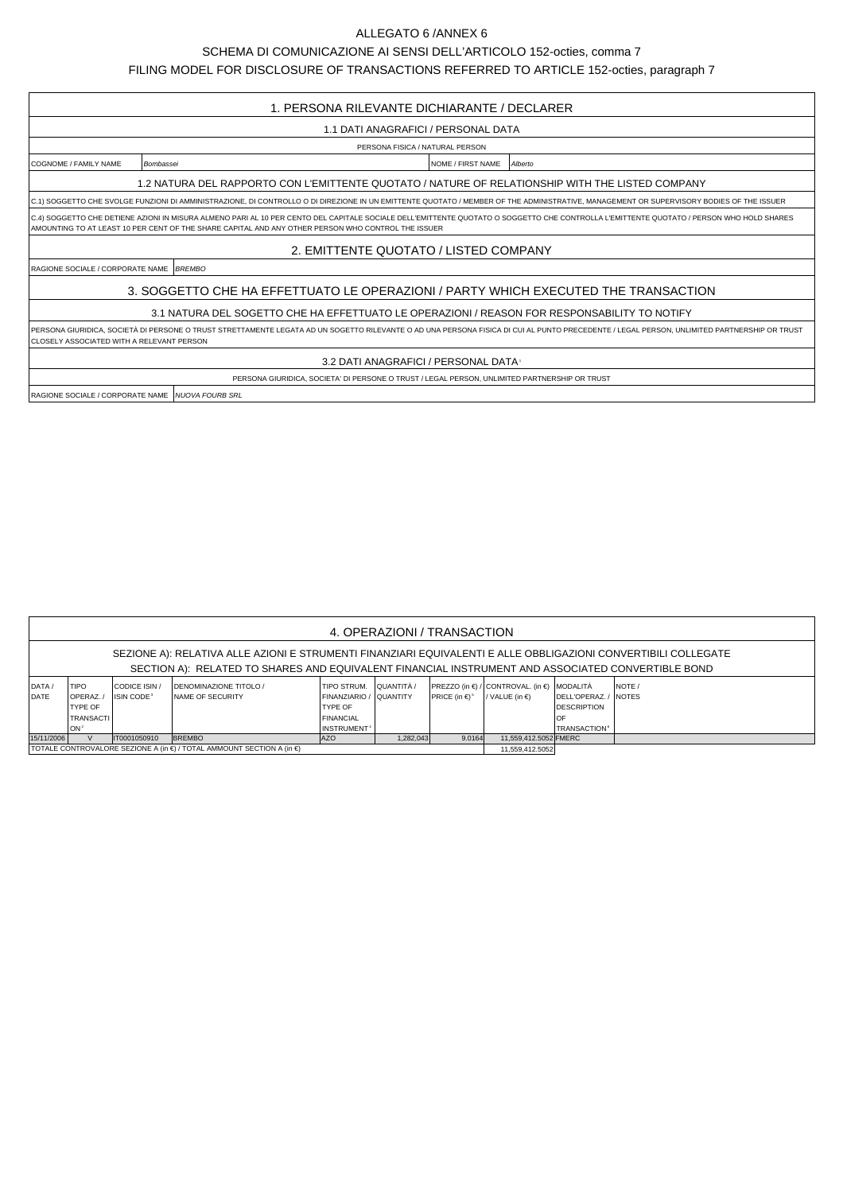## ALLEGATO 6 /ANNEX 6

SCHEMA DI COMUNICAZIONE AI SENSI DELL'ARTICOLO 152-octies, comma 7

FILING MODEL FOR DISCLOSURE OF TRANSACTIONS REFERRED TO ARTICLE 152-octies, paragraph 7

| 1. PERSONA RILEVANTE DICHIARANTE / DECLARER                                                                                                                                                                                                                                                    |                                                                                                  |  |  |  |  |  |  |  |  |
|------------------------------------------------------------------------------------------------------------------------------------------------------------------------------------------------------------------------------------------------------------------------------------------------|--------------------------------------------------------------------------------------------------|--|--|--|--|--|--|--|--|
| 1.1 DATI ANAGRAFICI / PERSONAL DATA                                                                                                                                                                                                                                                            |                                                                                                  |  |  |  |  |  |  |  |  |
| PERSONA FISICA / NATURAL PERSON                                                                                                                                                                                                                                                                |                                                                                                  |  |  |  |  |  |  |  |  |
| COGNOME / FAMILY NAME                                                                                                                                                                                                                                                                          | NOME / FIRST NAME<br>Alberto<br>Bombassei                                                        |  |  |  |  |  |  |  |  |
|                                                                                                                                                                                                                                                                                                | 1.2 NATURA DEL RAPPORTO CON L'EMITTENTE QUOTATO / NATURE OF RELATIONSHIP WITH THE LISTED COMPANY |  |  |  |  |  |  |  |  |
| C.1) SOGGETTO CHE SVOLGE FUNZIONI DI AMMINISTRAZIONE, DI CONTROLLO O DI DIREZIONE IN UN EMITTENTE QUOTATO / MEMBER OF THE ADMINISTRATIVE, MANAGEMENT OR SUPERVISORY BODIES OF THE ISSUER                                                                                                       |                                                                                                  |  |  |  |  |  |  |  |  |
| C.4) SOGGETTO CHE DETIENE AZIONI IN MISURA ALMENO PARI AL 10 PER CENTO DEL CAPITALE SOCIALE DELL'EMITTENTE QUOTATO O SOGGETTO CHE CONTROLLA L'EMITTENTE QUOTATO / PERSON WHO HOLD SHARES<br>AMOUNTING TO AT LEAST 10 PER CENT OF THE SHARE CAPITAL AND ANY OTHER PERSON WHO CONTROL THE ISSUER |                                                                                                  |  |  |  |  |  |  |  |  |
| 2. EMITTENTE QUOTATO / LISTED COMPANY                                                                                                                                                                                                                                                          |                                                                                                  |  |  |  |  |  |  |  |  |
| RAGIONE SOCIALE / CORPORATE NAME BREMBO                                                                                                                                                                                                                                                        |                                                                                                  |  |  |  |  |  |  |  |  |
| 3. SOGGETTO CHE HA EFFETTUATO LE OPERAZIONI / PARTY WHICH EXECUTED THE TRANSACTION                                                                                                                                                                                                             |                                                                                                  |  |  |  |  |  |  |  |  |
| 3.1 NATURA DEL SOGETTO CHE HA EFFETTUATO LE OPERAZIONI / REASON FOR RESPONSABILITY TO NOTIFY                                                                                                                                                                                                   |                                                                                                  |  |  |  |  |  |  |  |  |
| PERSONA GIURIDICA, SOCIETÀ DI PERSONE O TRUST STRETTAMENTE LEGATA AD UN SOGETTO RILEVANTE O AD UNA PERSONA FISICA DI CUI AL PUNTO PRECEDENTE / LEGAL PERSON, UNLIMITED PARTNERSHIP OR TRUST<br><b>CLOSELY ASSOCIATED WITH A RELEVANT PERSON</b>                                                |                                                                                                  |  |  |  |  |  |  |  |  |
| 3.2 DATI ANAGRAFICI / PERSONAL DATA                                                                                                                                                                                                                                                            |                                                                                                  |  |  |  |  |  |  |  |  |
|                                                                                                                                                                                                                                                                                                | PERSONA GIURIDICA, SOCIETA' DI PERSONE O TRUST / LEGAL PERSON, UNLIMITED PARTNERSHIP OR TRUST    |  |  |  |  |  |  |  |  |
| RAGIONE SOCIALE / CORPORATE NAME   NUOVA FOURB SRL                                                                                                                                                                                                                                             |                                                                                                  |  |  |  |  |  |  |  |  |

| 4. OPERAZIONI / TRANSACTION                                                                                    |                                                                                                   |                        |                                |                         |           |                                |                                                        |                                 |             |  |  |  |
|----------------------------------------------------------------------------------------------------------------|---------------------------------------------------------------------------------------------------|------------------------|--------------------------------|-------------------------|-----------|--------------------------------|--------------------------------------------------------|---------------------------------|-------------|--|--|--|
| SEZIONE A): RELATIVA ALLE AZIONI E STRUMENTI FINANZIARI EQUIVALENTI E ALLE OBBLIGAZIONI CONVERTIBILI COLLEGATE |                                                                                                   |                        |                                |                         |           |                                |                                                        |                                 |             |  |  |  |
|                                                                                                                | SECTION A): RELATED TO SHARES AND EQUIVALENT FINANCIAL INSTRUMENT AND ASSOCIATED CONVERTIBLE BOND |                        |                                |                         |           |                                |                                                        |                                 |             |  |  |  |
| DATA /                                                                                                         | <b>TIPO</b>                                                                                       | CODICE ISIN /          | <b>IDENOMINAZIONE TITOLO /</b> | TIPO STRUM. QUUANTITÀ / |           |                                | $PREZZO$ (in $\in$ ) / CONTROVAL. (in $\in$ ) MODALITÀ |                                 | <b>NOTE</b> |  |  |  |
| <b>DATE</b>                                                                                                    | <b>IOPERAZ.</b>                                                                                   | ISIN CODE <sup>3</sup> | <b>INAME OF SECURITY</b>       | FINANZIARIO / QUANTITY  |           | PRICE (in $\in$ ) <sup>5</sup> | / VALUE (in $\epsilon$ )                               | DELL'OPERAZ./                   | INOTES      |  |  |  |
|                                                                                                                | <b>TYPE OF</b>                                                                                    |                        |                                | <b>TYPE OF</b>          |           |                                |                                                        | <b>DESCRIPTION</b>              |             |  |  |  |
|                                                                                                                | <b>TRANSACTI</b>                                                                                  |                        |                                | <b>FINANCIAL</b>        |           |                                |                                                        | OF                              |             |  |  |  |
|                                                                                                                | ION <sup>2</sup>                                                                                  |                        |                                | INSTRUMENT <sup>+</sup> |           |                                |                                                        | <b>TRANSACTION</b> <sup>6</sup> |             |  |  |  |
| 15/11/2006                                                                                                     |                                                                                                   | IT0001050910           | <b>BREMBO</b>                  | <b>AZO</b>              | 1.282.043 | 9.0164                         | 11.559.412.5052 FMERC                                  |                                 |             |  |  |  |
| TOTALE CONTROVALORE SEZIONE A (in $\epsilon$ ) / TOTAL AMMOUNT SECTION A (in $\epsilon$ )                      |                                                                                                   |                        |                                |                         |           |                                |                                                        | 11,559,412.5052                 |             |  |  |  |